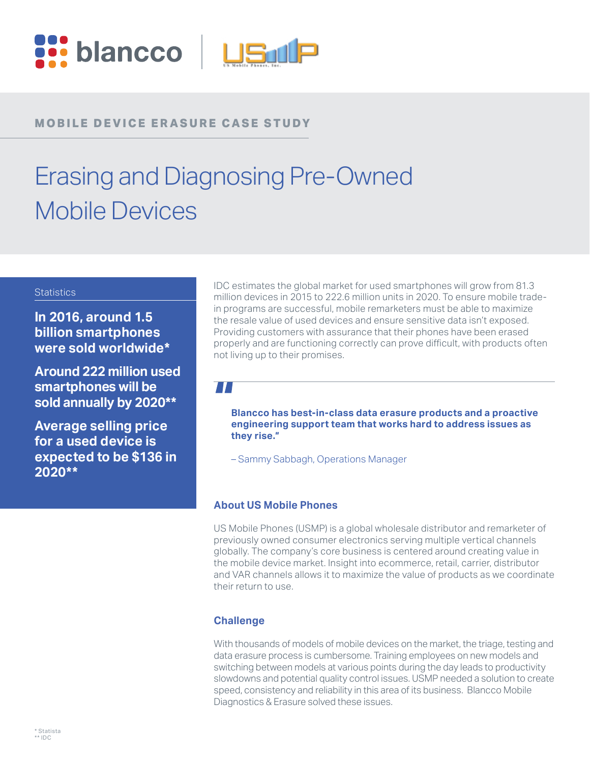

# **MOBILE DEVICE ERASURE CASE STUDY**

# Erasing and Diagnosing Pre-Owned Mobile Devices

#### **Statistics**

**In 2016, around 1.5 billion smartphones were sold worldwide\***

**Around 222 million used smartphones will be sold annually by 2020\*\***

**Average selling price for a used device is expected to be \$136 in 2020\*\***

IDC estimates the global market for used smartphones will grow from 81.3 million devices in 2015 to 222.6 million units in 2020. To ensure mobile tradein programs are successful, mobile remarketers must be able to maximize the resale value of used devices and ensure sensitive data isn't exposed. Providing customers with assurance that their phones have been erased properly and are functioning correctly can prove difficult, with products often not living up to their promises.

## $\mathcal{L}(\mathcal{L})$

**Blancco has best-in-class data erasure products and a proactive engineering support team that works hard to address issues as they rise."**

– Sammy Sabbagh, Operations Manager

### **About US Mobile Phones**

US Mobile Phones (USMP) is a global wholesale distributor and remarketer of previously owned consumer electronics serving multiple vertical channels globally. The company's core business is centered around creating value in the mobile device market. Insight into ecommerce, retail, carrier, distributor and VAR channels allows it to maximize the value of products as we coordinate their return to use.

### **Challenge**

With thousands of models of mobile devices on the market, the triage, testing and data erasure process is cumbersome. Training employees on new models and switching between models at various points during the day leads to productivity slowdowns and potential quality control issues. USMP needed a solution to create speed, consistency and reliability in this area of its business. Blancco Mobile Diagnostics & Erasure solved these issues.